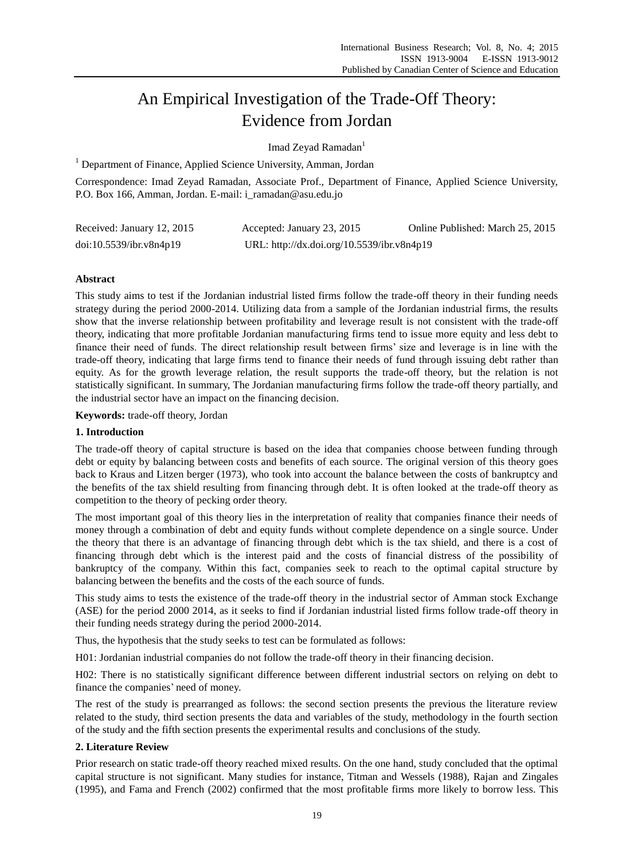# An Empirical Investigation of the Trade-Off Theory: Evidence from Jordan

Imad Zeyad Ramadan<sup>1</sup>

<sup>1</sup> Department of Finance, Applied Science University, Amman, Jordan

Correspondence: Imad Zeyad Ramadan, Associate Prof., Department of Finance, Applied Science University, P.O. Box 166, Amman, Jordan. E-mail: i\_ramadan@asu.edu.jo

| Received: January 12, 2015 | Accepted: January 23, 2015                 | Online Published: March 25, 2015 |
|----------------------------|--------------------------------------------|----------------------------------|
| doi:10.5539/ibr.v8n4p19    | URL: http://dx.doi.org/10.5539/ibr.v8n4p19 |                                  |

# **Abstract**

This study aims to test if the Jordanian industrial listed firms follow the trade-off theory in their funding needs strategy during the period 2000-2014. Utilizing data from a sample of the Jordanian industrial firms, the results show that the inverse relationship between profitability and leverage result is not consistent with the trade-off theory, indicating that more profitable Jordanian manufacturing firms tend to issue more equity and less debt to finance their need of funds. The direct relationship result between firms' size and leverage is in line with the trade-off theory, indicating that large firms tend to finance their needs of fund through issuing debt rather than equity. As for the growth leverage relation, the result supports the trade-off theory, but the relation is not statistically significant. In summary, The Jordanian manufacturing firms follow the trade-off theory partially, and the industrial sector have an impact on the financing decision.

**Keywords:** trade-off theory, Jordan

# **1. Introduction**

The trade-off theory of capital structure is based on the idea that companies choose between funding through debt or equity by balancing between costs and benefits of each source. The original version of this theory goes back to Kraus and Litzen berger (1973), who took into account the balance between the costs of bankruptcy and the benefits of the tax shield resulting from financing through debt. It is often looked at the trade-off theory as competition to the theory of pecking order theory.

The most important goal of this theory lies in the interpretation of reality that companies finance their needs of money through a combination of debt and equity funds without complete dependence on a single source. Under the theory that there is an advantage of financing through debt which is the tax shield, and there is a cost of financing through debt which is the interest paid and the costs of financial distress of the possibility of bankruptcy of the company. Within this fact, companies seek to reach to the optimal capital structure by balancing between the benefits and the costs of the each source of funds.

This study aims to tests the existence of the trade-off theory in the industrial sector of Amman stock Exchange (ASE) for the period 2000 2014, as it seeks to find if Jordanian industrial listed firms follow trade-off theory in their funding needs strategy during the period 2000-2014.

Thus, the hypothesis that the study seeks to test can be formulated as follows:

H01: Jordanian industrial companies do not follow the trade-off theory in their financing decision.

H02: There is no statistically significant difference between different industrial sectors on relying on debt to finance the companies' need of money.

The rest of the study is prearranged as follows: the second section presents the previous the literature review related to the study, third section presents the data and variables of the study, methodology in the fourth section of the study and the fifth section presents the experimental results and conclusions of the study.

# **2. Literature Review**

Prior research on static trade-off theory reached mixed results. On the one hand, study concluded that the optimal capital structure is not significant. Many studies for instance, Titman and Wessels (1988), Rajan and Zingales (1995), and Fama and French (2002) confirmed that the most profitable firms more likely to borrow less. This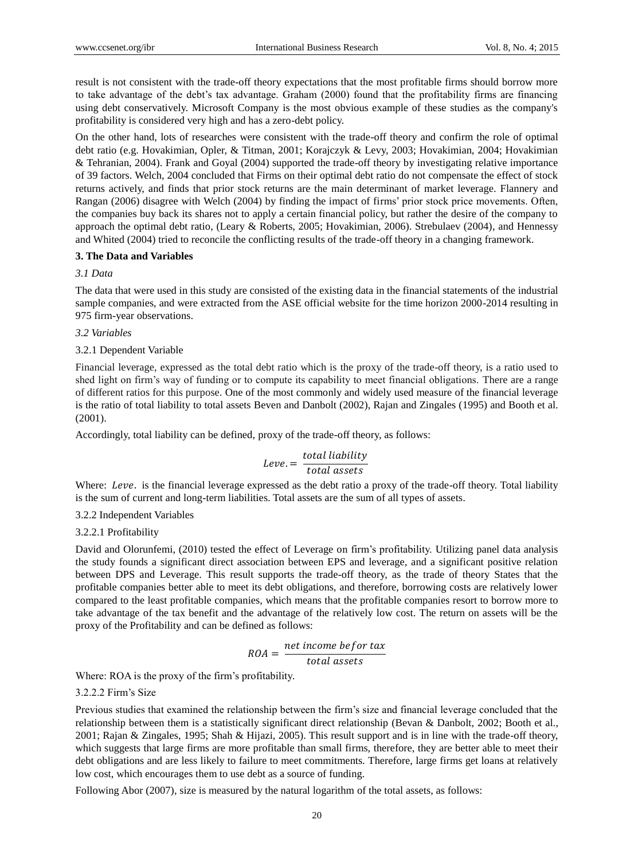result is not consistent with the trade-off theory expectations that the most profitable firms should borrow more to take advantage of the debt's tax advantage. Graham (2000) found that the profitability firms are financing using debt conservatively. Microsoft Company is the most obvious example of these studies as the company's profitability is considered very high and has a zero-debt policy.

On the other hand, lots of researches were consistent with the trade-off theory and confirm the role of optimal debt ratio (e.g. Hovakimian, Opler, & Titman, 2001; Korajczyk & Levy, 2003; Hovakimian, 2004; Hovakimian & Tehranian, 2004). Frank and Goyal (2004) supported the trade-off theory by investigating relative importance of 39 factors. Welch, 2004 concluded that Firms on their optimal debt ratio do not compensate the effect of stock returns actively, and finds that prior stock returns are the main determinant of market leverage. Flannery and Rangan (2006) disagree with Welch (2004) by finding the impact of firms' prior stock price movements. Often, the companies buy back its shares not to apply a certain financial policy, but rather the desire of the company to approach the optimal debt ratio, (Leary & Roberts, 2005; Hovakimian, 2006). Strebulaev (2004), and Hennessy and Whited (2004) tried to reconcile the conflicting results of the trade-off theory in a changing framework.

# **3. The Data and Variables**

# *3.1 Data*

The data that were used in this study are consisted of the existing data in the financial statements of the industrial sample companies, and were extracted from the ASE official website for the time horizon 2000-2014 resulting in 975 firm-year observations.

# *3.2 Variables*

# 3.2.1 Dependent Variable

Financial leverage, expressed as the total debt ratio which is the proxy of the trade-off theory, is a ratio used to shed light on firm's way of funding or to compute its capability to meet financial obligations. There are a range of different ratios for this purpose. One of the most commonly and widely used measure of the financial leverage is the ratio of total liability to total assets Beven and Danbolt (2002), Rajan and Zingales (1995) and Booth et al. (2001).

Accordingly, total liability can be defined, proxy of the trade-off theory, as follows:

# $Leve = \frac{total\ liability}$ total assets

Where: Leve. is the financial leverage expressed as the debt ratio a proxy of the trade-off theory. Total liability is the sum of current and long-term liabilities. Total assets are the sum of all types of assets.

# 3.2.2 Independent Variables

# 3.2.2.1 Profitability

David and Olorunfemi, (2010) tested the effect of Leverage on firm's profitability. Utilizing panel data analysis the study founds a significant direct association between EPS and leverage, and a significant positive relation between DPS and Leverage. This result supports the trade-off theory, as the trade of theory States that the profitable companies better able to meet its debt obligations, and therefore, borrowing costs are relatively lower compared to the least profitable companies, which means that the profitable companies resort to borrow more to take advantage of the tax benefit and the advantage of the relatively low cost. The return on assets will be the proxy of the Profitability and can be defined as follows:

$$
ROA = \frac{net\ income\ before\ tax}{total\ assets}
$$

Where: ROA is the proxy of the firm's profitability.

# 3.2.2.2 Firm's Size

Previous studies that examined the relationship between the firm's size and financial leverage concluded that the relationship between them is a statistically significant direct relationship (Bevan & Danbolt, 2002; Booth et al., 2001; Rajan & Zingales, 1995; Shah & Hijazi, 2005). This result support and is in line with the trade-off theory, which suggests that large firms are more profitable than small firms, therefore, they are better able to meet their debt obligations and are less likely to failure to meet commitments. Therefore, large firms get loans at relatively low cost, which encourages them to use debt as a source of funding.

Following Abor (2007), size is measured by the natural logarithm of the total assets, as follows: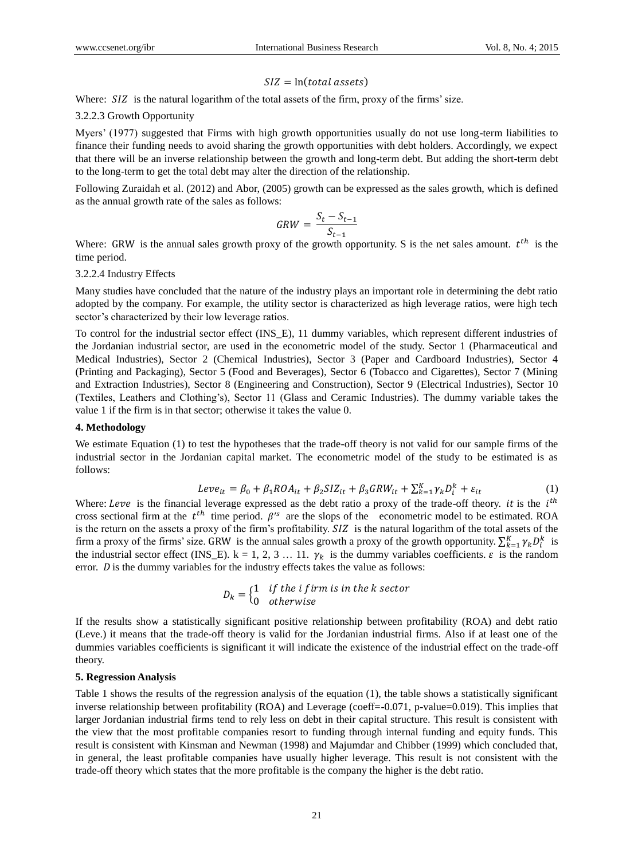#### $SIZ = \ln(total \, assets)$

Where:  $SIZ$  is the natural logarithm of the total assets of the firm, proxy of the firms' size.

#### 3.2.2.3 Growth Opportunity

Myers' (1977) suggested that Firms with high growth opportunities usually do not use long-term liabilities to finance their funding needs to avoid sharing the growth opportunities with debt holders. Accordingly, we expect that there will be an inverse relationship between the growth and long-term debt. But adding the short-term debt to the long-term to get the total debt may alter the direction of the relationship.

Following Zuraidah et al. (2012) and Abor, (2005) growth can be expressed as the sales growth, which is defined as the annual growth rate of the sales as follows:

$$
GRW = \frac{S_t - S_{t-1}}{S_{t-1}}
$$

Where: GRW is the annual sales growth proxy of the growth opportunity. S is the net sales amount.  $t^{th}$  is the time period.

#### 3.2.2.4 Industry Effects

Many studies have concluded that the nature of the industry plays an important role in determining the debt ratio adopted by the company. For example, the utility sector is characterized as high leverage ratios, were high tech sector's characterized by their low leverage ratios.

To control for the industrial sector effect (INS\_E), 11 dummy variables, which represent different industries of the Jordanian industrial sector, are used in the econometric model of the study. Sector 1 (Pharmaceutical and Medical Industries), Sector 2 (Chemical Industries), Sector 3 (Paper and Cardboard Industries), Sector 4 (Printing and Packaging), Sector 5 (Food and Beverages), Sector 6 (Tobacco and Cigarettes), Sector 7 (Mining and Extraction Industries), Sector 8 (Engineering and Construction), Sector 9 (Electrical Industries), Sector 10 (Textiles, Leathers and Clothing's), Sector 11 (Glass and Ceramic Industries). The dummy variable takes the value 1 if the firm is in that sector; otherwise it takes the value 0.

#### **4. Methodology**

We estimate Equation (1) to test the hypotheses that the trade-off theory is not valid for our sample firms of the industrial sector in the Jordanian capital market. The econometric model of the study to be estimated is as follows:

$$
Leve_{it} = \beta_0 + \beta_1 ROA_{it} + \beta_2 SIZ_{it} + \beta_3 GRW_{it} + \sum_{k=1}^{K} \gamma_k D_i^k + \varepsilon_{it}
$$
 (1)

Where: Leve is the financial leverage expressed as the debt ratio a proxy of the trade-off theory. it is the  $i<sup>th</sup>$ cross sectional firm at the  $t^{th}$  time period.  $\beta$ 's are the slops of the econometric model to be estimated. ROA is the return on the assets a proxy of the firm's profitability. SIZ is the natural logarithm of the total assets of the firm a proxy of the firms' size. GRW is the annual sales growth a proxy of the growth opportunity.  $\sum_{k=1}^{K} \gamma_k D_i^k$  is the industrial sector effect (INS\_E). k = 1, 2, 3 … 11.  $\gamma_k$  is the dummy variables coefficients.  $\varepsilon$  is the random error.  $D$  is the dummy variables for the industry effects takes the value as follows:

$$
D_k = \begin{cases} 1 & \text{if the } i \text{ firm is in the } k \text{ sector} \\ 0 & \text{otherwise} \end{cases}
$$

If the results show a statistically significant positive relationship between profitability (ROA) and debt ratio (Leve.) it means that the trade-off theory is valid for the Jordanian industrial firms. Also if at least one of the dummies variables coefficients is significant it will indicate the existence of the industrial effect on the trade-off theory.

#### **5. Regression Analysis**

Table 1 shows the results of the regression analysis of the equation (1), the table shows a statistically significant inverse relationship between profitability (ROA) and Leverage (coeff=-0.071, p-value=0.019). This implies that larger Jordanian industrial firms tend to rely less on debt in their capital structure. This result is consistent with the view that the most profitable companies resort to funding through internal funding and equity funds. This result is consistent with Kinsman and Newman (1998) and Majumdar and Chibber (1999) which concluded that, in general, the least profitable companies have usually higher leverage. This result is not consistent with the trade-off theory which states that the more profitable is the company the higher is the debt ratio.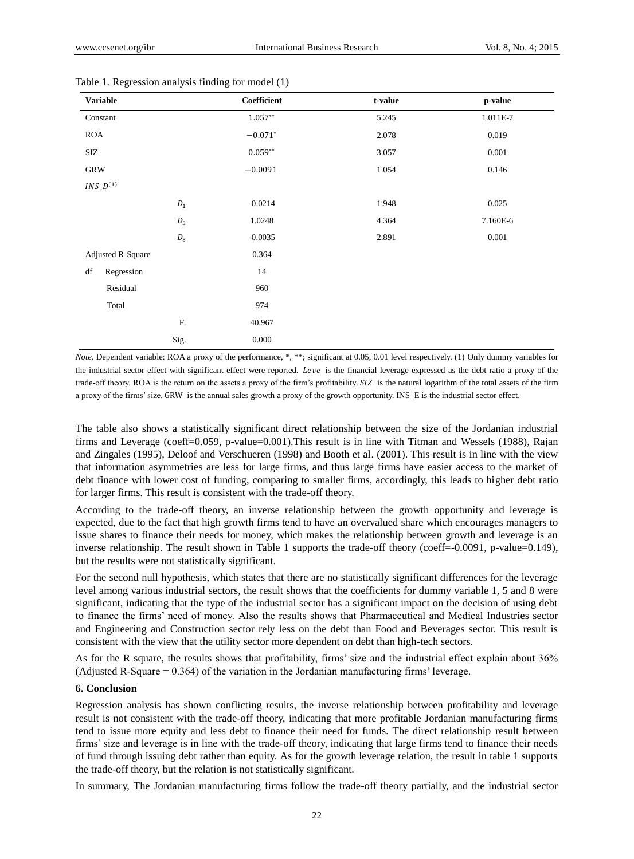| <b>Variable</b>          |              | Coefficient | t-value | p-value  |
|--------------------------|--------------|-------------|---------|----------|
| Constant                 |              | $1.057**$   | 5.245   | 1.011E-7 |
| <b>ROA</b>               |              | $-0.071*$   | 2.078   | 0.019    |
| SIZ                      |              | $0.059**$   | 3.057   | 0.001    |
| <b>GRW</b>               |              | $-0.0091$   | 1.054   | 0.146    |
| $INS\_D^{(1)}$           |              |             |         |          |
|                          | ${\cal D}_1$ | $-0.0214$   | 1.948   | 0.025    |
|                          | $D_{\rm 5}$  | 1.0248      | 4.364   | 7.160E-6 |
|                          | $D_{\rm 8}$  | $-0.0035$   | 2.891   | 0.001    |
| <b>Adjusted R-Square</b> |              | 0.364       |         |          |
| df<br>Regression         |              | 14          |         |          |
| Residual                 |              | 960         |         |          |
| Total                    |              | 974         |         |          |
|                          | F.           | 40.967      |         |          |
|                          | Sig.         | 0.000       |         |          |

#### Table 1. Regression analysis finding for model (1)

*Note*. Dependent variable: ROA a proxy of the performance, \*, \*\*; significant at 0.05, 0.01 level respectively. (1) Only dummy variables for the industrial sector effect with significant effect were reported. Leve is the financial leverage expressed as the debt ratio a proxy of the trade-off theory. ROA is the return on the assets a proxy of the firm's profitability. SIZ is the natural logarithm of the total assets of the firm a proxy of the firms' size. GRW is the annual sales growth a proxy of the growth opportunity. INS\_E is the industrial sector effect.

The table also shows a statistically significant direct relationship between the size of the Jordanian industrial firms and Leverage (coeff=0.059, p-value=0.001).This result is in line with Titman and Wessels (1988), Rajan and Zingales (1995), Deloof and Verschueren (1998) and Booth et al. (2001). This result is in line with the view that information asymmetries are less for large firms, and thus large firms have easier access to the market of debt finance with lower cost of funding, comparing to smaller firms, accordingly, this leads to higher debt ratio for larger firms. This result is consistent with the trade-off theory.

According to the trade-off theory, an inverse relationship between the growth opportunity and leverage is expected, due to the fact that high growth firms tend to have an overvalued share which encourages managers to issue shares to finance their needs for money, which makes the relationship between growth and leverage is an inverse relationship. The result shown in Table 1 supports the trade-off theory (coeff=-0.0091, p-value=0.149), but the results were not statistically significant.

For the second null hypothesis, which states that there are no statistically significant differences for the leverage level among various industrial sectors, the result shows that the coefficients for dummy variable 1, 5 and 8 were significant, indicating that the type of the industrial sector has a significant impact on the decision of using debt to finance the firms' need of money. Also the results shows that Pharmaceutical and Medical Industries sector and Engineering and Construction sector rely less on the debt than Food and Beverages sector. This result is consistent with the view that the utility sector more dependent on debt than high-tech sectors.

As for the R square, the results shows that profitability, firms' size and the industrial effect explain about 36% (Adjusted R-Square = 0.364) of the variation in the Jordanian manufacturing firms' leverage.

#### **6. Conclusion**

Regression analysis has shown conflicting results, the inverse relationship between profitability and leverage result is not consistent with the trade-off theory, indicating that more profitable Jordanian manufacturing firms tend to issue more equity and less debt to finance their need for funds. The direct relationship result between firms' size and leverage is in line with the trade-off theory, indicating that large firms tend to finance their needs of fund through issuing debt rather than equity. As for the growth leverage relation, the result in table 1 supports the trade-off theory, but the relation is not statistically significant.

In summary, The Jordanian manufacturing firms follow the trade-off theory partially, and the industrial sector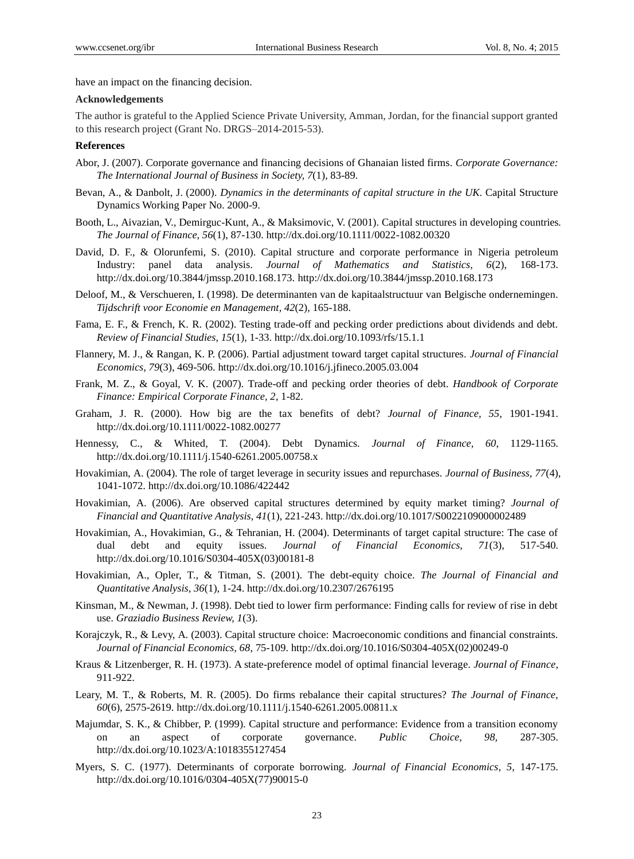have an impact on the financing decision.

# **Acknowledgements**

The author is grateful to the Applied Science Private University, Amman, Jordan, for the financial support granted to this research project (Grant No. DRGS–2014-2015-53).

# **References**

- Abor, J. (2007). Corporate governance and financing decisions of Ghanaian listed firms. *Corporate Governance: The International Journal of Business in Society, 7*(1), 83-89.
- Bevan, A., & Danbolt, J. (2000). *Dynamics in the determinants of capital structure in the UK*. Capital Structure Dynamics Working Paper No. 2000-9.
- Booth, L., Aivazian, V., Demirguc-Kunt, A., & Maksimovic, V. (2001). Capital structures in developing countries. *The Journal of Finance, 56*(1), 87-130. http://dx.doi.org/10.1111/0022-1082.00320
- David, D. F., & Olorunfemi, S. (2010). Capital structure and corporate performance in Nigeria petroleum Industry: panel data analysis. *Journal of Mathematics and Statistics, 6*(2), 168-173. http://dx.doi.org/10.3844/jmssp.2010.168.173. http://dx.doi.org/10.3844/jmssp.2010.168.173
- Deloof, M., & Verschueren, I. (1998). De determinanten van de kapitaalstructuur van Belgische ondernemingen. *Tijdschrift voor Economie en Management, 42*(2), 165-188.
- Fama, E. F., & French, K. R. (2002). Testing trade-off and pecking order predictions about dividends and debt. *Review of Financial Studies, 15*(1), 1-33. http://dx.doi.org/10.1093/rfs/15.1.1
- Flannery, M. J., & Rangan, K. P. (2006). Partial adjustment toward target capital structures. *Journal of Financial Economics, 79*(3), 469-506. http://dx.doi.org/10.1016/j.jfineco.2005.03.004
- Frank, M. Z., & Goyal, V. K. (2007). Trade-off and pecking order theories of debt. *Handbook of Corporate Finance: Empirical Corporate Finance, 2*, 1-82.
- Graham, J. R. (2000). How big are the tax benefits of debt? *Journal of Finance, 55*, 1901-1941. http://dx.doi.org/10.1111/0022-1082.00277
- Hennessy, C., & Whited, T. (2004). Debt Dynamics. *Journal of Finance, 60*, 1129-1165. http://dx.doi.org/10.1111/j.1540-6261.2005.00758.x
- Hovakimian, A. (2004). The role of target leverage in security issues and repurchases. *Journal of Business, 77*(4), 1041-1072. http://dx.doi.org/10.1086/422442
- Hovakimian, A. (2006). Are observed capital structures determined by equity market timing? *Journal of Financial and Quantitative Analysis, 41*(1), 221-243. http://dx.doi.org/10.1017/S0022109000002489
- Hovakimian, A., Hovakimian, G., & Tehranian, H. (2004). Determinants of target capital structure: The case of dual debt and equity issues. *Journal of Financial Economics, 71*(3), 517-540. http://dx.doi.org/10.1016/S0304-405X(03)00181-8
- Hovakimian, A., Opler, T., & Titman, S. (2001). The debt-equity choice. *The Journal of Financial and Quantitative Analysis, 36*(1), 1-24. http://dx.doi.org/10.2307/2676195
- Kinsman, M., & Newman, J. (1998). Debt tied to lower firm performance: Finding calls for review of rise in debt use. *Graziadio Business Review, 1*(3).
- Korajczyk, R., & Levy, A. (2003). Capital structure choice: Macroeconomic conditions and financial constraints. *Journal of Financial Economics, 68*, 75-109. http://dx.doi.org/10.1016/S0304-405X(02)00249-0
- Kraus & Litzenberger, R. H. (1973). A state-preference model of optimal financial leverage. *Journal of Finance*, 911-922.
- Leary, M. T., & Roberts, M. R. (2005). Do firms rebalance their capital structures? *The Journal of Finance, 60*(6), 2575-2619. http://dx.doi.org/10.1111/j.1540-6261.2005.00811.x
- Majumdar, S. K., & Chibber, P. (1999). Capital structure and performance: Evidence from a transition economy on an aspect of corporate governance. *Public Choice, 98,* 287-305. http://dx.doi.org/10.1023/A:1018355127454
- Myers, S. C. (1977). Determinants of corporate borrowing. *Journal of Financial Economics, 5*, 147-175. http://dx.doi.org/10.1016/0304-405X(77)90015-0